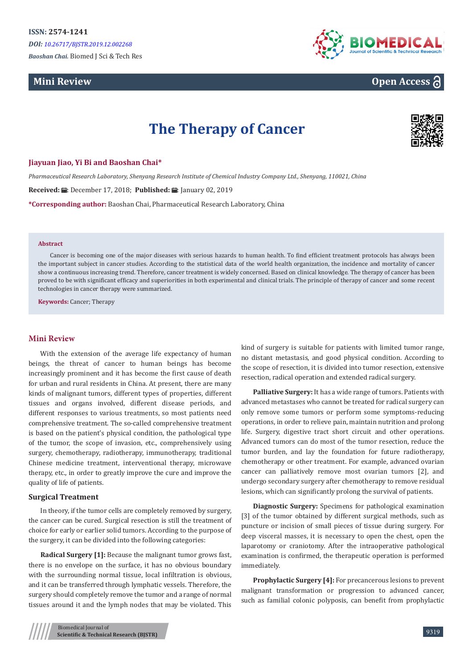# **Mini Review**



# **Open Access**

# **The Therapy of Cancer**



# **Jiayuan Jiao, Yi Bi and Baoshan Chai\***

*Pharmaceutical Research Laboratory, Shenyang Research Institute of Chemical Industry Company Ltd., Shenyang, 110021, China*

**Received: A:** December 17, 2018: **Published: 品:** January 02, 2019

**\*Corresponding author:** Baoshan Chai, Pharmaceutical Research Laboratory, China

## **Abstract**

Cancer is becoming one of the major diseases with serious hazards to human health. To find efficient treatment protocols has always been the important subject in cancer studies. According to the statistical data of the world health organization, the incidence and mortality of cancer show a continuous increasing trend. Therefore, cancer treatment is widely concerned. Based on clinical knowledge. The therapy of cancer has been proved to be with significant efficacy and superiorities in both experimental and clinical trials. The principle of therapy of cancer and some recent technologies in cancer therapy were summarized.

**Keywords:** Cancer; Therapy

# **Mini Review**

With the extension of the average life expectancy of human beings, the threat of cancer to human beings has become increasingly prominent and it has become the first cause of death for urban and rural residents in China. At present, there are many kinds of malignant tumors, different types of properties, different tissues and organs involved, different disease periods, and different responses to various treatments, so most patients need comprehensive treatment. The so-called comprehensive treatment is based on the patient's physical condition, the pathological type of the tumor, the scope of invasion, etc., comprehensively using surgery, chemotherapy, radiotherapy, immunotherapy, traditional Chinese medicine treatment, interventional therapy, microwave therapy, etc., in order to greatly improve the cure and improve the quality of life of patients.

# **Surgical Treatment**

In theory, if the tumor cells are completely removed by surgery, the cancer can be cured. Surgical resection is still the treatment of choice for early or earlier solid tumors. According to the purpose of the surgery, it can be divided into the following categories:

**Radical Surgery [1]:** Because the malignant tumor grows fast, there is no envelope on the surface, it has no obvious boundary with the surrounding normal tissue, local infiltration is obvious, and it can be transferred through lymphatic vessels. Therefore, the surgery should completely remove the tumor and a range of normal tissues around it and the lymph nodes that may be violated. This

kind of surgery is suitable for patients with limited tumor range, no distant metastasis, and good physical condition. According to the scope of resection, it is divided into tumor resection, extensive resection, radical operation and extended radical surgery.

**Palliative Surgery:** It has a wide range of tumors. Patients with advanced metastases who cannot be treated for radical surgery can only remove some tumors or perform some symptoms-reducing operations, in order to relieve pain, maintain nutrition and prolong life. Surgery, digestive tract short circuit and other operations. Advanced tumors can do most of the tumor resection, reduce the tumor burden, and lay the foundation for future radiotherapy, chemotherapy or other treatment. For example, advanced ovarian cancer can palliatively remove most ovarian tumors [2], and undergo secondary surgery after chemotherapy to remove residual lesions, which can significantly prolong the survival of patients.

**Diagnostic Surgery:** Specimens for pathological examination [3] of the tumor obtained by different surgical methods, such as puncture or incision of small pieces of tissue during surgery. For deep visceral masses, it is necessary to open the chest, open the laparotomy or craniotomy. After the intraoperative pathological examination is confirmed, the therapeutic operation is performed immediately.

**Prophylactic Surgery [4]:** For precancerous lesions to prevent malignant transformation or progression to advanced cancer, such as familial colonic polyposis, can benefit from prophylactic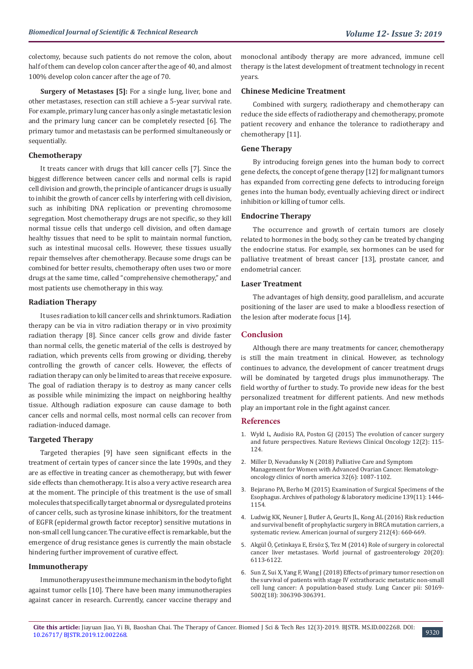colectomy, because such patients do not remove the colon, about half of them can develop colon cancer after the age of 40, and almost 100% develop colon cancer after the age of 70.

**Surgery of Metastases [5]:** For a single lung, liver, bone and other metastases, resection can still achieve a 5-year survival rate. For example, primary lung cancer has only a single metastatic lesion and the primary lung cancer can be completely resected [6]. The primary tumor and metastasis can be performed simultaneously or sequentially.

# **Chemotherapy**

It treats cancer with drugs that kill cancer cells [7]. Since the biggest difference between cancer cells and normal cells is rapid cell division and growth, the principle of anticancer drugs is usually to inhibit the growth of cancer cells by interfering with cell division, such as inhibiting DNA replication or preventing chromosome segregation. Most chemotherapy drugs are not specific, so they kill normal tissue cells that undergo cell division, and often damage healthy tissues that need to be split to maintain normal function, such as intestinal mucosal cells. However, these tissues usually repair themselves after chemotherapy. Because some drugs can be combined for better results, chemotherapy often uses two or more drugs at the same time, called "comprehensive chemotherapy," and most patients use chemotherapy in this way.

#### **Radiation Therapy**

It uses radiation to kill cancer cells and shrink tumors. Radiation therapy can be via in vitro radiation therapy or in vivo proximity radiation therapy [8]. Since cancer cells grow and divide faster than normal cells, the genetic material of the cells is destroyed by radiation, which prevents cells from growing or dividing, thereby controlling the growth of cancer cells. However, the effects of radiation therapy can only be limited to areas that receive exposure. The goal of radiation therapy is to destroy as many cancer cells as possible while minimizing the impact on neighboring healthy tissue. Although radiation exposure can cause damage to both cancer cells and normal cells, most normal cells can recover from radiation-induced damage.

# **Targeted Therapy**

Targeted therapies [9] have seen significant effects in the treatment of certain types of cancer since the late 1990s, and they are as effective in treating cancer as chemotherapy, but with fewer side effects than chemotherapy. It is also a very active research area at the moment. The principle of this treatment is the use of small molecules that specifically target abnormal or dysregulated proteins of cancer cells, such as tyrosine kinase inhibitors, for the treatment of EGFR (epidermal growth factor receptor) sensitive mutations in non-small cell lung cancer. The curative effect is remarkable, but the emergence of drug resistance genes is currently the main obstacle hindering further improvement of curative effect.

# **Immunotherapy**

Immunotherapy uses the immune mechanism in the body to fight against tumor cells [10]. There have been many immunotherapies against cancer in research. Currently, cancer vaccine therapy and

monoclonal antibody therapy are more advanced, immune cell therapy is the latest development of treatment technology in recent years.

## **Chinese Medicine Treatment**

Combined with surgery, radiotherapy and chemotherapy can reduce the side effects of radiotherapy and chemotherapy, promote patient recovery and enhance the tolerance to radiotherapy and chemotherapy [11].

#### **Gene Therapy**

By introducing foreign genes into the human body to correct gene defects, the concept of gene therapy [12] for malignant tumors has expanded from correcting gene defects to introducing foreign genes into the human body, eventually achieving direct or indirect inhibition or killing of tumor cells.

# **Endocrine Therapy**

The occurrence and growth of certain tumors are closely related to hormones in the body, so they can be treated by changing the endocrine status. For example, sex hormones can be used for palliative treatment of breast cancer [13], prostate cancer, and endometrial cancer.

# **Laser Treatment**

The advantages of high density, good parallelism, and accurate positioning of the laser are used to make a bloodless resection of the lesion after moderate focus [14].

# **Conclusion**

Although there are many treatments for cancer, chemotherapy is still the main treatment in clinical. However, as technology continues to advance, the development of cancer treatment drugs will be dominated by targeted drugs plus immunotherapy. The field worthy of further to study. To provide new ideas for the best personalized treatment for different patients. And new methods play an important role in the fight against cancer.

## **References**

- 1. [Wyld L, Audisio RA, Poston GJ \(2015\) The evolution of cancer surgery](https://www.ncbi.nlm.nih.gov/pubmed/25384943) [and future perspectives. Nature Reviews Clinical Oncology 12\(2\): 115-](https://www.ncbi.nlm.nih.gov/pubmed/25384943) [124.](https://www.ncbi.nlm.nih.gov/pubmed/25384943)
- 2. [Miller D, Nevadunsky N \(2018\) Palliative Care and Symptom](https://www.ncbi.nlm.nih.gov/pubmed/30390762)  [Management for Women with Advanced Ovarian Cancer. Hematology](https://www.ncbi.nlm.nih.gov/pubmed/30390762)[oncology clinics of north america 32\(6\): 1087-1102.](https://www.ncbi.nlm.nih.gov/pubmed/30390762)
- 3. [Bejarano PA, Berho M \(2015\) Examination of Surgical Specimens of the](https://www.ncbi.nlm.nih.gov/pubmed/26516942) [Esophagus. Archives of pathology & laboratory medicine 139\(11\): 1446-](https://www.ncbi.nlm.nih.gov/pubmed/26516942) [1154.](https://www.ncbi.nlm.nih.gov/pubmed/26516942)
- 4. [Ludwig KK, Neuner J, Butler A, Geurts JL, Kong AL \(2016\) Risk reduction](https://www.ncbi.nlm.nih.gov/pubmed/27649974) [and survival benefit of prophylactic surgery in BRCA mutation carriers, a](https://www.ncbi.nlm.nih.gov/pubmed/27649974) [systematic review. American journal of surgery 212\(4\): 660-669.](https://www.ncbi.nlm.nih.gov/pubmed/27649974)
- 5. [Akgül Ö, Çetinkaya E, Ersöz Ş, Tez M \(2014\) Role of surgery in colorectal](https://www.ncbi.nlm.nih.gov/pmc/articles/PMC4033450/) [cancer liver metastases. World journal of gastroenterology 20\(20\):](https://www.ncbi.nlm.nih.gov/pmc/articles/PMC4033450/) [6113-6122.](https://www.ncbi.nlm.nih.gov/pmc/articles/PMC4033450/)
- 6. [Sun Z, Sui X, Yang F, Wang J \(2018\) Effects of primary tumor resection on](https://www.ncbi.nlm.nih.gov/pubmed/30545693) [the survival of patients with stage IV extrathoracic metastatic non-small](https://www.ncbi.nlm.nih.gov/pubmed/30545693) [cell lung cancer: A population-based study. Lung Cancer pii: S0169-](https://www.ncbi.nlm.nih.gov/pubmed/30545693) [5002\(18\): 306390-306391.](https://www.ncbi.nlm.nih.gov/pubmed/30545693)